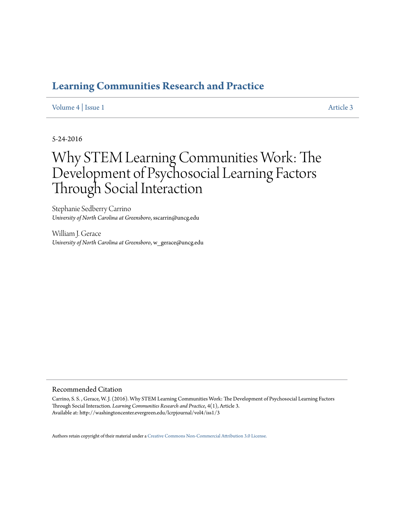# **[Learning Communities Research and Practice](http://washingtoncenter.evergreen.edu/lcrpjournal)**

# [Volume 4](http://washingtoncenter.evergreen.edu/lcrpjournal/vol4) | [Issue 1](http://washingtoncenter.evergreen.edu/lcrpjournal/vol4/iss1) [Article 3](http://washingtoncenter.evergreen.edu/lcrpjournal/vol4/iss1/3)

5-24-2016

# Why STEM Learning Communities Work: The Development of Psychosocial Learning Factors Through Social Interaction

Stephanie Sedberry Carrino *University of North Carolina at Greensboro*, sscarrin@uncg.edu

William J. Gerace *University of North Carolina at Greensboro*, w\_gerace@uncg.edu

#### Recommended Citation

Carrino, S. S. , Gerace, W. J. (2016). Why STEM Learning Communities Work: The Development of Psychosocial Learning Factors Through Social Interaction. *Learning Communities Research and Practice*, 4(1), Article 3. Available at: http://washingtoncenter.evergreen.edu/lcrpjournal/vol4/iss1/3

Authors retain copyright of their material under a [Creative Commons Non-Commercial Attribution 3.0 License.](http://creativecommons.org/licenses/by-nc/3.0/)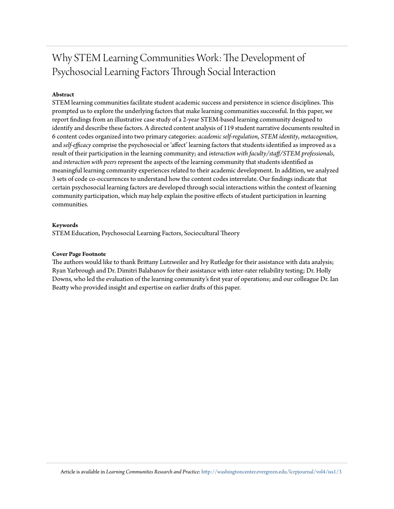# Why STEM Learning Communities Work: The Development of Psychosocial Learning Factors Through Social Interaction

# **Abstract**

STEM learning communities facilitate student academic success and persistence in science disciplines. This prompted us to explore the underlying factors that make learning communities successful. In this paper, we report findings from an illustrative case study of a 2-year STEM-based learning community designed to identify and describe these factors. A directed content analysis of 119 student narrative documents resulted in 6 content codes organized into two primary categories: *academic self-regulation*, *STEM identity*, *metacognition*, and *self-efficacy* comprise the psychosocial or 'affect' learning factors that students identified as improved as a result of their participation in the learning community; and *interaction with faculty/staff/STEM professionals*, and *interaction with peers* represent the aspects of the learning community that students identified as meaningful learning community experiences related to their academic development. In addition, we analyzed 3 sets of code co-occurrences to understand how the content codes interrelate. Our findings indicate that certain psychosocial learning factors are developed through social interactions within the context of learning community participation, which may help explain the positive effects of student participation in learning communities.

#### **Keywords**

STEM Education, Psychosocial Learning Factors, Sociocultural Theory

#### **Cover Page Footnote**

The authors would like to thank Brittany Lutzweiler and Ivy Rutledge for their assistance with data analysis; Ryan Yarbrough and Dr. Dimitri Balabanov for their assistance with inter-rater reliability testing; Dr. Holly Downs, who led the evaluation of the learning community's first year of operations; and our colleague Dr. Ian Beatty who provided insight and expertise on earlier drafts of this paper.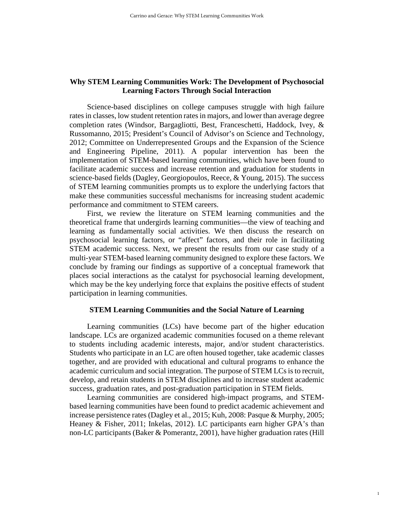# **Why STEM Learning Communities Work: The Development of Psychosocial Learning Factors Through Social Interaction**

Science-based disciplines on college campuses struggle with high failure rates in classes, low student retention rates in majors, and lower than average degree completion rates (Windsor, Bargagliotti, Best, Franceschetti, Haddock, Ivey, & Russomanno, 2015; President's Council of Advisor's on Science and Technology, 2012; Committee on Underrepresented Groups and the Expansion of the Science and Engineering Pipeline, 2011). A popular intervention has been the implementation of STEM-based learning communities, which have been found to facilitate academic success and increase retention and graduation for students in science-based fields (Dagley, Georgiopoulos, Reece, & Young, 2015). The success of STEM learning communities prompts us to explore the underlying factors that make these communities successful mechanisms for increasing student academic performance and commitment to STEM careers.

First, we review the literature on STEM learning communities and the theoretical frame that undergirds learning communities—the view of teaching and learning as fundamentally social activities. We then discuss the research on psychosocial learning factors, or "affect" factors, and their role in facilitating STEM academic success. Next, we present the results from our case study of a multi-year STEM-based learning community designed to explore these factors. We conclude by framing our findings as supportive of a conceptual framework that places social interactions as the catalyst for psychosocial learning development, which may be the key underlying force that explains the positive effects of student participation in learning communities.

#### **STEM Learning Communities and the Social Nature of Learning**

Learning communities (LCs) have become part of the higher education landscape. LCs are organized academic communities focused on a theme relevant to students including academic interests, major, and/or student characteristics. Students who participate in an LC are often housed together, take academic classes together, and are provided with educational and cultural programs to enhance the academic curriculum and social integration. The purpose of STEM LCs is to recruit, develop, and retain students in STEM disciplines and to increase student academic success, graduation rates, and post-graduation participation in STEM fields.

Learning communities are considered high-impact programs, and STEMbased learning communities have been found to predict academic achievement and increase persistence rates (Dagley et al., 2015; Kuh, 2008: Pasque & Murphy, 2005; Heaney & Fisher, 2011; Inkelas, 2012). LC participants earn higher GPA's than non-LC participants (Baker & Pomerantz, 2001), have higher graduation rates (Hill

1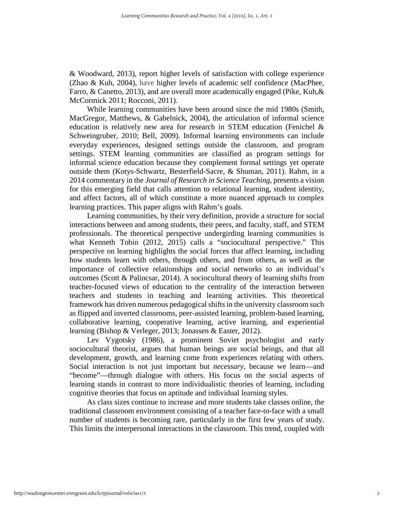& Woodward, 2013), report higher levels of satisfaction with college experience (Zhao & Kuh, 2004), have higher levels of academic self confidence (MacPhee, Farro, & Canetto, 2013), and are overall more academically engaged (Pike, Kuh,& McCormick 2011; Rocconi, 2011).

While learning communities have been around since the mid 1980s (Smith, MacGregor, Matthews, & Gabelnick, 2004), the articulation of informal science education is relatively new area for research in STEM education (Fenichel & Schweingruber, 2010; Bell, 2009). Informal learning environments can include everyday experiences, designed settings outside the classroom, and program settings. STEM learning communities are classified as program settings for informal science education because they complement formal settings yet operate outside them (Kotys-Schwartz, Besterfield-Sacre, & Shuman, 2011). Rahm, in a 2014 commentary in the *Journal of Research in Science Teaching*, presents a vision for this emerging field that calls attention to relational learning, student identity, and affect factors, all of which constitute a more nuanced approach to complex learning practices. This paper aligns with Rahm's goals.

Learning communities, by their very definition, provide a structure for social interactions between and among students, their peers, and faculty, staff, and STEM professionals. The theoretical perspective undergirding learning communities is what Kenneth Tobin (2012, 2015) calls a "sociocultural perspective." This perspective on learning highlights the social forces that affect learning, including how students learn with others, through others, and from others, as well as the importance of collective relationships and social networks to an individual's outcomes (Scott & Palincsar, 2014). A sociocultural theory of learning shifts from teacher-focused views of education to the centrality of the interaction between teachers and students in teaching and learning activities. This theoretical framework has driven numerous pedagogical shifts in the university classroom such as flipped and inverted classrooms, peer-assisted learning, problem-based learning, collaborative learning, cooperative learning, active learning, and experiential learning (Bishop & Verleger, 2013; Jonassen & Easter, 2012).

Lev Vygotsky (1986), a prominent Soviet psychologist and early sociocultural theorist, argues that human beings are social beings, and that all development, growth, and learning come from experiences relating with others. Social interaction is not just important but *necessary*, because we learn—and "become"—through dialogue with others. His focus on the social aspects of learning stands in contrast to more individualistic theories of learning, including cognitive theories that focus on aptitude and individual learning styles.

As class sizes continue to increase and more students take classes online, the traditional classroom environment consisting of a teacher face-to-face with a small number of students is becoming rare, particularly in the first few years of study. This limits the interpersonal interactions in the classroom. This trend, coupled with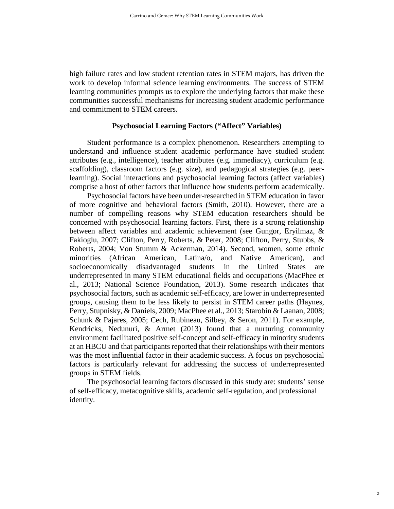high failure rates and low student retention rates in STEM majors, has driven the work to develop informal science learning environments. The success of STEM learning communities prompts us to explore the underlying factors that make these communities successful mechanisms for increasing student academic performance and commitment to STEM careers.

# **Psychosocial Learning Factors ("Affect" Variables)**

Student performance is a complex phenomenon. Researchers attempting to understand and influence student academic performance have studied student attributes (e.g., intelligence), teacher attributes (e.g. immediacy), curriculum (e.g. scaffolding), classroom factors (e.g. size), and pedagogical strategies (e.g. peerlearning). Social interactions and psychosocial learning factors (affect variables) comprise a host of other factors that influence how students perform academically.

Psychosocial factors have been under-researched in STEM education in favor of more cognitive and behavioral factors (Smith, 2010). However, there are a number of compelling reasons why STEM education researchers should be concerned with psychosocial learning factors. First, there is a strong relationship between affect variables and academic achievement (see Gungor, Eryilmaz, & Fakioglu, 2007; Clifton, Perry, Roberts, & Peter, 2008; Clifton, Perry, Stubbs, & Roberts, 2004; Von Stumm & Ackerman, 2014). Second, women, some ethnic minorities (African American, Latina/o, and Native American), and socioeconomically disadvantaged students in the United States are underrepresented in many STEM educational fields and occupations (MacPhee et al., 2013; National Science Foundation, 2013). Some research indicates that psychosocial factors, such as academic self-efficacy, are lower in underrepresented groups, causing them to be less likely to persist in STEM career paths (Haynes, Perry, Stupnisky, & Daniels, 2009; MacPhee et al., 2013; Starobin & Laanan, 2008; Schunk & Pajares, 2005; Cech, Rubineau, Silbey, & Seron, 2011). For example, Kendricks, Nedunuri, & Armet (2013) found that a nurturing community environment facilitated positive self-concept and self-efficacy in minority students at an HBCU and that participants reported that their relationships with their mentors was the most influential factor in their academic success. A focus on psychosocial factors is particularly relevant for addressing the success of underrepresented groups in STEM fields.

The psychosocial learning factors discussed in this study are: students' sense of self-efficacy, metacognitive skills, academic self-regulation, and professional identity.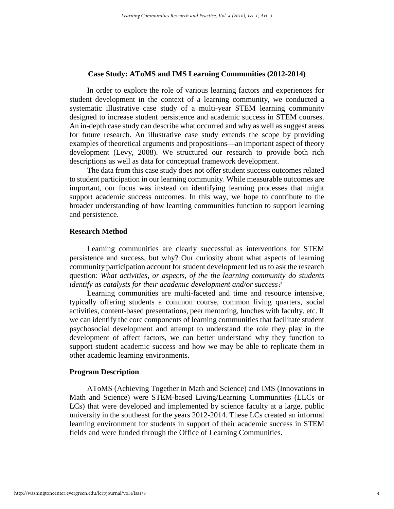# **Case Study: AToMS and IMS Learning Communities (2012-2014)**

In order to explore the role of various learning factors and experiences for student development in the context of a learning community, we conducted a systematic illustrative case study of a multi-year STEM learning community designed to increase student persistence and academic success in STEM courses. An in-depth case study can describe what occurred and why as well as suggest areas for future research. An illustrative case study extends the scope by providing examples of theoretical arguments and propositions—an important aspect of theory development (Levy, 2008). We structured our research to provide both rich descriptions as well as data for conceptual framework development.

The data from this case study does not offer student success outcomes related to student participation in our learning community. While measurable outcomes are important, our focus was instead on identifying learning processes that might support academic success outcomes. In this way, we hope to contribute to the broader understanding of how learning communities function to support learning and persistence.

# **Research Method**

Learning communities are clearly successful as interventions for STEM persistence and success, but why? Our curiosity about what aspects of learning community participation account for student development led us to ask the research question: *What activities, or aspects, of the the learning community do students identify as catalysts for their academic development and/or success?* 

Learning communities are multi-faceted and time and resource intensive, typically offering students a common course, common living quarters, social activities, content-based presentations, peer mentoring, lunches with faculty, etc. If we can identify the core components of learning communities that facilitate student psychosocial development and attempt to understand the role they play in the development of affect factors, we can better understand why they function to support student academic success and how we may be able to replicate them in other academic learning environments.

# **Program Description**

AToMS (Achieving Together in Math and Science) and IMS (Innovations in Math and Science) were STEM-based Living/Learning Communities (LLCs or LCs) that were developed and implemented by science faculty at a large, public university in the southeast for the years 2012-2014. These LCs created an informal learning environment for students in support of their academic success in STEM fields and were funded through the Office of Learning Communities.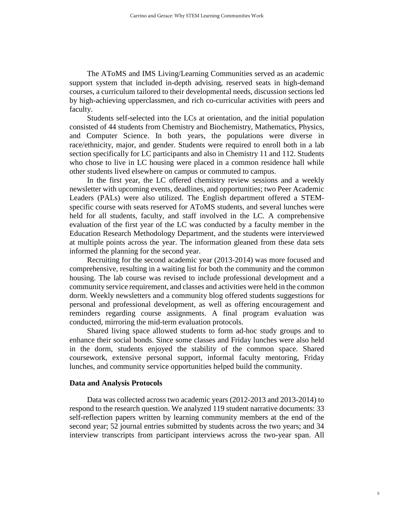The AToMS and IMS Living/Learning Communities served as an academic support system that included in-depth advising, reserved seats in high-demand courses, a curriculum tailored to their developmental needs, discussion sections led by high-achieving upperclassmen, and rich co-curricular activities with peers and faculty.

Students self-selected into the LCs at orientation, and the initial population consisted of 44 students from Chemistry and Biochemistry, Mathematics, Physics, and Computer Science. In both years, the populations were diverse in race/ethnicity, major, and gender. Students were required to enroll both in a lab section specifically for LC participants and also in Chemistry 11 and 112. Students who chose to live in LC housing were placed in a common residence hall while other students lived elsewhere on campus or commuted to campus.

In the first year, the LC offered chemistry review sessions and a weekly newsletter with upcoming events, deadlines, and opportunities; two Peer Academic Leaders (PALs) were also utilized. The English department offered a STEMspecific course with seats reserved for AToMS students, and several lunches were held for all students, faculty, and staff involved in the LC*.* A comprehensive evaluation of the first year of the LC was conducted by a faculty member in the Education Research Methodology Department, and the students were interviewed at multiple points across the year. The information gleaned from these data sets informed the planning for the second year.

Recruiting for the second academic year (2013-2014) was more focused and comprehensive, resulting in a waiting list for both the community and the common housing. The lab course was revised to include professional development and a community service requirement, and classes and activities were held in the common dorm. Weekly newsletters and a community blog offered students suggestions for personal and professional development, as well as offering encouragement and reminders regarding course assignments. A final program evaluation was conducted, mirroring the mid-term evaluation protocols.

Shared living space allowed students to form ad-hoc study groups and to enhance their social bonds. Since some classes and Friday lunches were also held in the dorm, students enjoyed the stability of the common space. Shared coursework, extensive personal support, informal faculty mentoring, Friday lunches, and community service opportunities helped build the community.

#### **Data and Analysis Protocols**

Data was collected across two academic years (2012-2013 and 2013-2014) to respond to the research question. We analyzed 119 student narrative documents: 33 self-reflection papers written by learning community members at the end of the second year; 52 journal entries submitted by students across the two years; and 34 interview transcripts from participant interviews across the two-year span. All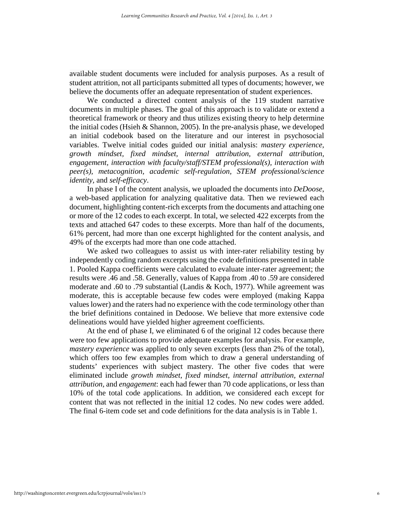available student documents were included for analysis purposes. As a result of student attrition, not all participants submitted all types of documents; however, we believe the documents offer an adequate representation of student experiences.

We conducted a directed content analysis of the 119 student narrative documents in multiple phases. The goal of this approach is to validate or extend a theoretical framework or theory and thus utilizes existing theory to help determine the initial codes (Hsieh & Shannon, 2005). In the pre-analysis phase, we developed an initial codebook based on the literature and our interest in psychosocial variables. Twelve initial codes guided our initial analysis: *mastery experience, growth mindset, fixed mindset, internal attribution, external attribution, engagement, interaction with faculty/staff/STEM professional(s), interaction with peer(s), metacognition, academic self-regulation, STEM professional/science identity,* and *self-efficacy*.

In phase I of the content analysis, we uploaded the documents into *DeDoose*, a web-based application for analyzing qualitative data. Then we reviewed each document, highlighting content-rich excerpts from the documents and attaching one or more of the 12 codes to each excerpt. In total, we selected 422 excerpts from the texts and attached 647 codes to these excerpts. More than half of the documents, 61% percent, had more than one excerpt highlighted for the content analysis, and 49% of the excerpts had more than one code attached.

We asked two colleagues to assist us with inter-rater reliability testing by independently coding random excerpts using the code definitions presented in table 1. Pooled Kappa coefficients were calculated to evaluate inter-rater agreement; the results were .46 and .58. Generally, values of Kappa from .40 to .59 are considered moderate and .60 to .79 substantial (Landis & Koch, 1977). While agreement was moderate, this is acceptable because few codes were employed (making Kappa values lower) and the raters had no experience with the code terminology other than the brief definitions contained in Dedoose. We believe that more extensive code delineations would have yielded higher agreement coefficients.

At the end of phase I, we eliminated 6 of the original 12 codes because there were too few applications to provide adequate examples for analysis. For example, *mastery experience* was applied to only seven excerpts (less than 2% of the total), which offers too few examples from which to draw a general understanding of students' experiences with subject mastery. The other five codes that were eliminated include *growth mindset, fixed mindset, internal attribution, external attribution,* and *engagement*: each had fewer than 70 code applications, or less than 10% of the total code applications. In addition, we considered each except for content that was not reflected in the initial 12 codes. No new codes were added. The final 6-item code set and code definitions for the data analysis is in Table 1.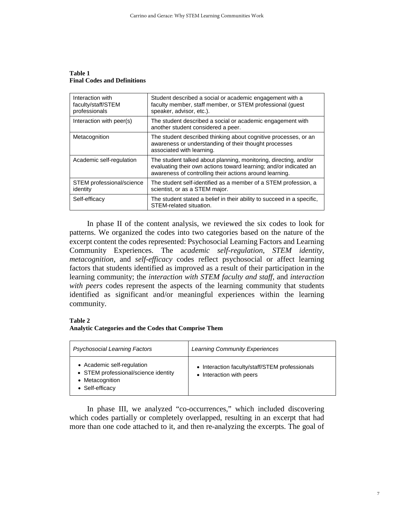**Table 1 Final Codes and Definitions**

| Interaction with<br>faculty/staff/STEM<br>professionals | Student described a social or academic engagement with a<br>faculty member, staff member, or STEM professional (quest<br>speaker, advisor, etc.).                                                |
|---------------------------------------------------------|--------------------------------------------------------------------------------------------------------------------------------------------------------------------------------------------------|
| Interaction with peer(s)                                | The student described a social or academic engagement with<br>another student considered a peer.                                                                                                 |
| Metacognition                                           | The student described thinking about cognitive processes, or an<br>awareness or understanding of their thought processes<br>associated with learning.                                            |
| Academic self-regulation                                | The student talked about planning, monitoring, directing, and/or<br>evaluating their own actions toward learning; and/or indicated an<br>awareness of controlling their actions around learning. |
| STEM professional/science<br>identity                   | The student self-identified as a member of a STEM profession, a<br>scientist, or as a STEM major.                                                                                                |
| Self-efficacy                                           | The student stated a belief in their ability to succeed in a specific.<br>STEM-related situation.                                                                                                |

In phase II of the content analysis, we reviewed the six codes to look for patterns. We organized the codes into two categories based on the nature of the excerpt content the codes represented: Psychosocial Learning Factors and Learning Community Experiences. The a*cademic self-regulation*, *STEM identity*, *metacognition*, and *self-efficacy* codes reflect psychosocial or affect learning factors that students identified as improved as a result of their participation in the learning community; the *interaction with STEM faculty and staff*, and *interaction with peers* codes represent the aspects of the learning community that students identified as significant and/or meaningful experiences within the learning community.

#### **Table 2**

#### **Analytic Categories and the Codes that Comprise Them**

| <b>Psychosocial Learning Factors</b>                                                                     | <b>Learning Community Experiences</b>                                      |  |
|----------------------------------------------------------------------------------------------------------|----------------------------------------------------------------------------|--|
| • Academic self-regulation<br>• STEM professional/science identity<br>• Metacognition<br>• Self-efficacy | • Interaction faculty/staff/STEM professionals<br>• Interaction with peers |  |

In phase III, we analyzed "co-occurrences," which included discovering which codes partially or completely overlapped, resulting in an excerpt that had more than one code attached to it, and then re-analyzing the excerpts. The goal of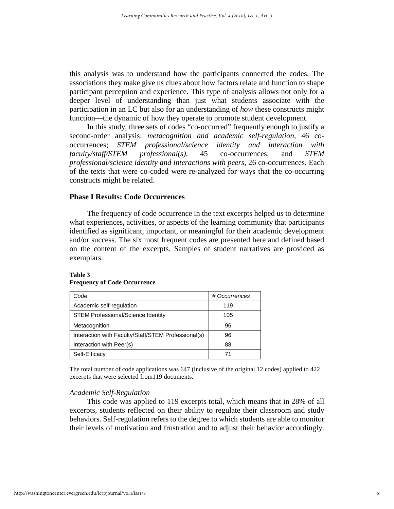this analysis was to understand how the participants connected the codes. The associations they make give us clues about how factors relate and function to shape participant perception and experience. This type of analysis allows not only for a deeper level of understanding than just what students associate with the participation in an LC but also for an understanding of *how* these constructs might function—the dynamic of how they operate to promote student development.

In this study, three sets of codes "co-occurred" frequently enough to justify a second-order analysis: *metacognition and academic self-regulation*, 46 cooccurrences; *STEM professional/science identity and interaction with faculty/staff/STEM professional(s),* 45 co-occurrences; and *STEM professional/science identity and interactions with peers,* 26 co-occurrences. Each of the texts that were co-coded were re-analyzed for ways that the co-occurring constructs might be related.

#### **Phase I Results: Code Occurrences**

The frequency of code occurrence in the text excerpts helped us to determine what experiences, activities, or aspects of the learning community that participants identified as significant, important, or meaningful for their academic development and/or success. The six most frequent codes are presented here and defined based on the content of the excerpts. Samples of student narratives are provided as exemplars.

| Code                                                | # Occurrences |
|-----------------------------------------------------|---------------|
| Academic self-regulation                            | 119           |
| <b>STEM Professional/Science Identity</b>           | 105           |
| Metacognition                                       | 96            |
| Interaction with Faculty/Staff/STEM Professional(s) | 96            |
| Interaction with Peer(s)                            | 88            |
| Self-Efficacy                                       | 71            |

#### **Table 3 Frequency of Code Occurrence**

The total number of code applications was 647 (inclusive of the original 12 codes) applied to 422 excerpts that were selected from119 documents.

#### *Academic Self-Regulation*

This code was applied to 119 excerpts total, which means that in 28% of all excerpts, students reflected on their ability to regulate their classroom and study behaviors. Self-regulation refers to the degree to which students are able to monitor their levels of motivation and frustration and to adjust their behavior accordingly.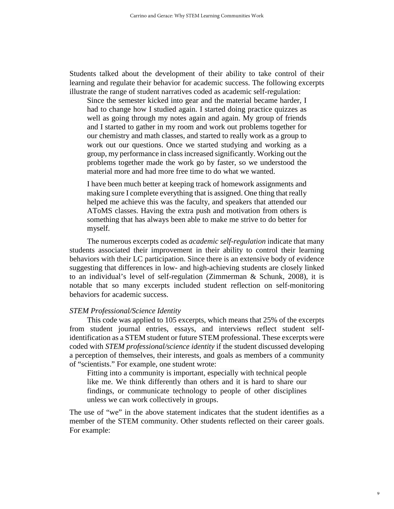Students talked about the development of their ability to take control of their learning and regulate their behavior for academic success. The following excerpts illustrate the range of student narratives coded as academic self-regulation:

Since the semester kicked into gear and the material became harder, I had to change how I studied again. I started doing practice quizzes as well as going through my notes again and again. My group of friends and I started to gather in my room and work out problems together for our chemistry and math classes, and started to really work as a group to work out our questions. Once we started studying and working as a group, my performance in class increased significantly. Working out the problems together made the work go by faster, so we understood the material more and had more free time to do what we wanted.

I have been much better at keeping track of homework assignments and making sure I complete everything that is assigned. One thing that really helped me achieve this was the faculty, and speakers that attended our AToMS classes. Having the extra push and motivation from others is something that has always been able to make me strive to do better for myself.

The numerous excerpts coded as *academic self-regulation* indicate that many students associated their improvement in their ability to control their learning behaviors with their LC participation. Since there is an extensive body of evidence suggesting that differences in low- and high-achieving students are closely linked to an individual's level of self-regulation (Zimmerman & Schunk, 2008), it is notable that so many excerpts included student reflection on self-monitoring behaviors for academic success.

### *STEM Professional/Science Identity*

This code was applied to 105 excerpts, which means that 25% of the excerpts from student journal entries, essays, and interviews reflect student selfidentification as a STEM student or future STEM professional. These excerpts were coded with *STEM professional/science identity* if the student discussed developing a perception of themselves, their interests, and goals as members of a community of "scientists." For example, one student wrote:

Fitting into a community is important, especially with technical people like me. We think differently than others and it is hard to share our findings, or communicate technology to people of other disciplines unless we can work collectively in groups.

The use of "we" in the above statement indicates that the student identifies as a member of the STEM community. Other students reflected on their career goals. For example: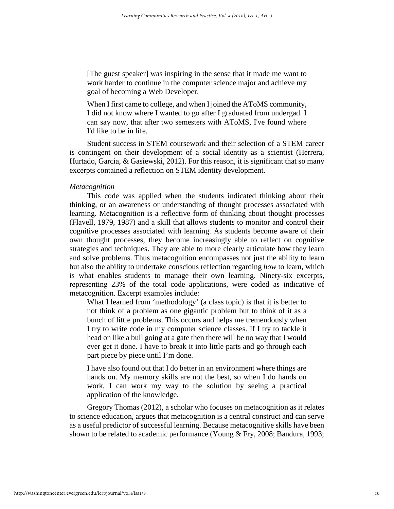[The guest speaker] was inspiring in the sense that it made me want to work harder to continue in the computer science major and achieve my goal of becoming a Web Developer.

When I first came to college, and when I joined the AToMS community, I did not know where I wanted to go after I graduated from undergad. I can say now, that after two semesters with AToMS, I've found where I'd like to be in life.

Student success in STEM coursework and their selection of a STEM career is contingent on their development of a social identity as a scientist (Herrera, Hurtado, Garcia, & Gasiewski, 2012). For this reason, it is significant that so many excerpts contained a reflection on STEM identity development.

#### *Metacognition*

This code was applied when the students indicated thinking about their thinking, or an awareness or understanding of thought processes associated with learning. Metacognition is a reflective form of thinking about thought processes (Flavell, 1979, 1987) and a skill that allows students to monitor and control their cognitive processes associated with learning. As students become aware of their own thought processes, they become increasingly able to reflect on cognitive strategies and techniques. They are able to more clearly articulate how they learn and solve problems. Thus metacognition encompasses not just the ability to learn but also the ability to undertake conscious reflection regarding *how* to learn, which is what enables students to manage their own learning. Ninety-six excerpts, representing 23% of the total code applications, were coded as indicative of metacognition. Excerpt examples include:

What I learned from 'methodology' (a class topic) is that it is better to not think of a problem as one gigantic problem but to think of it as a bunch of little problems. This occurs and helps me tremendously when I try to write code in my computer science classes. If I try to tackle it head on like a bull going at a gate then there will be no way that I would ever get it done. I have to break it into little parts and go through each part piece by piece until I'm done.

I have also found out that I do better in an environment where things are hands on. My memory skills are not the best, so when I do hands on work, I can work my way to the solution by seeing a practical application of the knowledge.

Gregory Thomas (2012), a scholar who focuses on metacognition as it relates to science education, argues that metacognition is a central construct and can serve as a useful predictor of successful learning. Because metacognitive skills have been shown to be related to academic performance (Young & Fry, 2008; Bandura, 1993;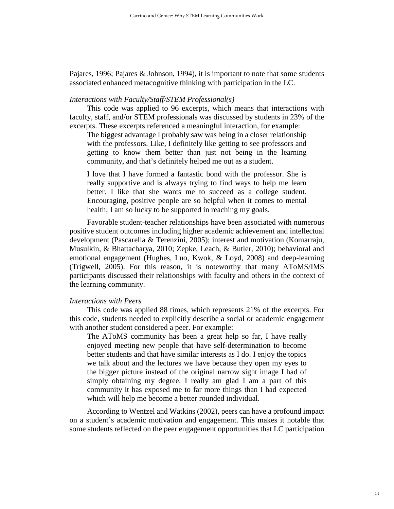Pajares, 1996; Pajares & Johnson, 1994), it is important to note that some students associated enhanced metacognitive thinking with participation in the LC.

#### *Interactions with Faculty/Staff/STEM Professional(s)*

This code was applied to 96 excerpts, which means that interactions with faculty, staff, and/or STEM professionals was discussed by students in 23% of the excerpts. These excerpts referenced a meaningful interaction, for example:

The biggest advantage I probably saw was being in a closer relationship with the professors. Like, I definitely like getting to see professors and getting to know them better than just not being in the learning community, and that's definitely helped me out as a student.

I love that I have formed a fantastic bond with the professor. She is really supportive and is always trying to find ways to help me learn better. I like that she wants me to succeed as a college student. Encouraging, positive people are so helpful when it comes to mental health; I am so lucky to be supported in reaching my goals.

Favorable student-teacher relationships have been associated with numerous positive student outcomes including higher academic achievement and intellectual development (Pascarella & Terenzini, 2005); interest and motivation (Komarraju, Musulkin, & Bhattacharya, 2010; Zepke, Leach, & Butler, 2010); behavioral and emotional engagement (Hughes, Luo, Kwok, & Loyd, 2008) and deep-learning (Trigwell, 2005). For this reason, it is noteworthy that many AToMS/IMS participants discussed their relationships with faculty and others in the context of the learning community.

#### *Interactions with Peers*

This code was applied 88 times, which represents 21% of the excerpts. For this code, students needed to explicitly describe a social or academic engagement with another student considered a peer. For example:

The AToMS community has been a great help so far, I have really enjoyed meeting new people that have self-determination to become better students and that have similar interests as I do. I enjoy the topics we talk about and the lectures we have because they open my eyes to the bigger picture instead of the original narrow sight image I had of simply obtaining my degree. I really am glad I am a part of this community it has exposed me to far more things than I had expected which will help me become a better rounded individual.

According to Wentzel and Watkins (2002), peers can have a profound impact on a student's academic motivation and engagement. This makes it notable that some students reflected on the peer engagement opportunities that LC participation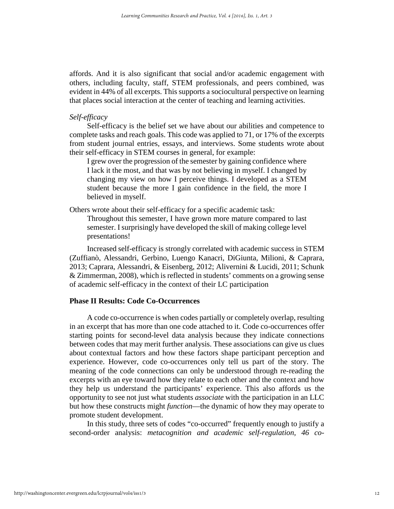affords. And it is also significant that social and/or academic engagement with others, including faculty, staff, STEM professionals, and peers combined, was evident in 44% of all excerpts. This supports a sociocultural perspective on learning that places social interaction at the center of teaching and learning activities.

# *Self-efficacy*

Self-efficacy is the belief set we have about our abilities and competence to complete tasks and reach goals. This code was applied to 71, or 17% of the excerpts from student journal entries, essays, and interviews. Some students wrote about their self-efficacy in STEM courses in general, for example:

I grew over the progression of the semester by gaining confidence where I lack it the most, and that was by not believing in myself. I changed by changing my view on how I perceive things. I developed as a STEM student because the more I gain confidence in the field, the more I believed in myself.

Others wrote about their self-efficacy for a specific academic task:

Throughout this semester, I have grown more mature compared to last semester. I surprisingly have developed the skill of making college level presentations!

Increased self-efficacy is strongly correlated with academic success in STEM (Zuffianò, Alessandri, Gerbino, Luengo Kanacri, DiGiunta, Milioni, & Caprara, 2013; Caprara, Alessandri, & Eisenberg, 2012; Alivernini & Lucidi, 2011; Schunk & Zimmerman, 2008), which is reflected in students' comments on a growing sense of academic self-efficacy in the context of their LC participation

# **Phase II Results: Code Co-Occurrences**

A code co-occurrence is when codes partially or completely overlap, resulting in an excerpt that has more than one code attached to it. Code co-occurrences offer starting points for second-level data analysis because they indicate connections between codes that may merit further analysis. These associations can give us clues about contextual factors and how these factors shape participant perception and experience. However, code co-occurrences only tell us part of the story. The meaning of the code connections can only be understood through re-reading the excerpts with an eye toward how they relate to each other and the context and how they help us understand the participants' experience. This also affords us the opportunity to see not just what students *associate* with the participation in an LLC but how these constructs might *function*—the dynamic of how they may operate to promote student development.

In this study, three sets of codes "co-occurred" frequently enough to justify a second-order analysis: *metacognition and academic self-regulation, 46 co-*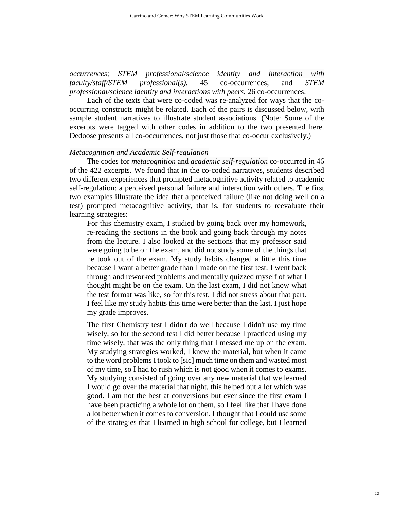*occurrences; STEM professional/science identity and interaction with faculty/staff/STEM professional(s),* 45 co-occurrences; and *STEM professional/science identity and interactions with peers*, 26 co-occurrences.

Each of the texts that were co-coded was re-analyzed for ways that the cooccurring constructs might be related. Each of the pairs is discussed below, with sample student narratives to illustrate student associations. (Note: Some of the excerpts were tagged with other codes in addition to the two presented here. Dedoose presents all co-occurrences, not just those that co-occur exclusively.)

#### *Metacognition and Academic Self-regulation*

The codes for *metacognition* and *academic self-regulation* co-occurred in 46 of the 422 excerpts. We found that in the co-coded narratives, students described two different experiences that prompted metacognitive activity related to academic self-regulation: a perceived personal failure and interaction with others. The first two examples illustrate the idea that a perceived failure (like not doing well on a test) prompted metacognitive activity, that is, for students to reevaluate their learning strategies:

For this chemistry exam, I studied by going back over my homework, re-reading the sections in the book and going back through my notes from the lecture. I also looked at the sections that my professor said were going to be on the exam, and did not study some of the things that he took out of the exam. My study habits changed a little this time because I want a better grade than I made on the first test. I went back through and reworked problems and mentally quizzed myself of what I thought might be on the exam. On the last exam, I did not know what the test format was like, so for this test, I did not stress about that part. I feel like my study habits this time were better than the last. I just hope my grade improves.

The first Chemistry test I didn't do well because I didn't use my time wisely, so for the second test I did better because I practiced using my time wisely, that was the only thing that I messed me up on the exam. My studying strategies worked, I knew the material, but when it came to the word problems I took to [sic] much time on them and wasted most of my time, so I had to rush which is not good when it comes to exams. My studying consisted of going over any new material that we learned I would go over the material that night, this helped out a lot which was good. I am not the best at conversions but ever since the first exam I have been practicing a whole lot on them, so I feel like that I have done a lot better when it comes to conversion. I thought that I could use some of the strategies that I learned in high school for college, but I learned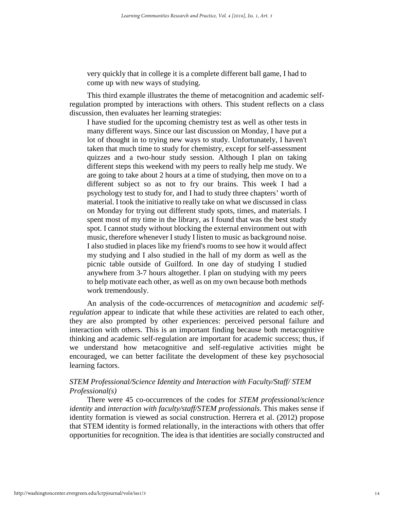very quickly that in college it is a complete different ball game, I had to come up with new ways of studying.

This third example illustrates the theme of metacognition and academic selfregulation prompted by interactions with others. This student reflects on a class discussion, then evaluates her learning strategies:

I have studied for the upcoming chemistry test as well as other tests in many different ways. Since our last discussion on Monday, I have put a lot of thought in to trying new ways to study. Unfortunately, I haven't taken that much time to study for chemistry, except for self-assessment quizzes and a two-hour study session. Although I plan on taking different steps this weekend with my peers to really help me study. We are going to take about 2 hours at a time of studying, then move on to a different subject so as not to fry our brains. This week I had a psychology test to study for, and I had to study three chapters' worth of material. I took the initiative to really take on what we discussed in class on Monday for trying out different study spots, times, and materials. I spent most of my time in the library, as I found that was the best study spot. I cannot study without blocking the external environment out with music, therefore whenever I study I listen to music as background noise. I also studied in places like my friend's rooms to see how it would affect my studying and I also studied in the hall of my dorm as well as the picnic table outside of Guilford. In one day of studying I studied anywhere from 3-7 hours altogether. I plan on studying with my peers to help motivate each other, as well as on my own because both methods work tremendously.

An analysis of the code-occurrences of *metacognition* and *academic selfregulation* appear to indicate that while these activities are related to each other, they are also prompted by other experiences: perceived personal failure and interaction with others. This is an important finding because both metacognitive thinking and academic self-regulation are important for academic success; thus, if we understand how metacognitive and self-regulative activities might be encouraged, we can better facilitate the development of these key psychosocial learning factors.

# *STEM Professional/Science Identity and Interaction with Faculty/Staff/ STEM Professional(s)*

There were 45 co-occurrences of the codes for *STEM professional/science identity* and *interaction with faculty/staff/STEM professionals.* This makes sense if identity formation is viewed as social construction. Herrera et al. (2012) propose that STEM identity is formed relationally, in the interactions with others that offer opportunities for recognition. The idea is that identities are socially constructed and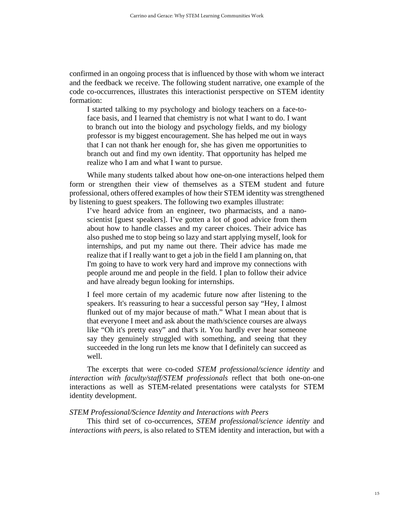confirmed in an ongoing process that is influenced by those with whom we interact and the feedback we receive. The following student narrative, one example of the code co-occurrences, illustrates this interactionist perspective on STEM identity formation:

I started talking to my psychology and biology teachers on a face-toface basis, and I learned that chemistry is not what I want to do. I want to branch out into the biology and psychology fields, and my biology professor is my biggest encouragement. She has helped me out in ways that I can not thank her enough for, she has given me opportunities to branch out and find my own identity. That opportunity has helped me realize who I am and what I want to pursue.

While many students talked about how one-on-one interactions helped them form or strengthen their view of themselves as a STEM student and future professional, others offered examples of how their STEM identity was strengthened by listening to guest speakers. The following two examples illustrate:

I've heard advice from an engineer, two pharmacists, and a nanoscientist [guest speakers]. I've gotten a lot of good advice from them about how to handle classes and my career choices. Their advice has also pushed me to stop being so lazy and start applying myself, look for internships, and put my name out there. Their advice has made me realize that if I really want to get a job in the field I am planning on, that I'm going to have to work very hard and improve my connections with people around me and people in the field. I plan to follow their advice and have already begun looking for internships.

I feel more certain of my academic future now after listening to the speakers. It's reassuring to hear a successful person say "Hey, I almost flunked out of my major because of math." What I mean about that is that everyone I meet and ask about the math/science courses are always like "Oh it's pretty easy" and that's it. You hardly ever hear someone say they genuinely struggled with something, and seeing that they succeeded in the long run lets me know that I definitely can succeed as well.

The excerpts that were co-coded *STEM professional/science identity* and *interaction with faculty/staff/STEM professionals* reflect that both one-on-one interactions as well as STEM-related presentations were catalysts for STEM identity development.

#### *STEM Professional/Science Identity and Interactions with Peers*

This third set of co-occurrences, *STEM professional/science identity* and *interactions with peers*, is also related to STEM identity and interaction, but with a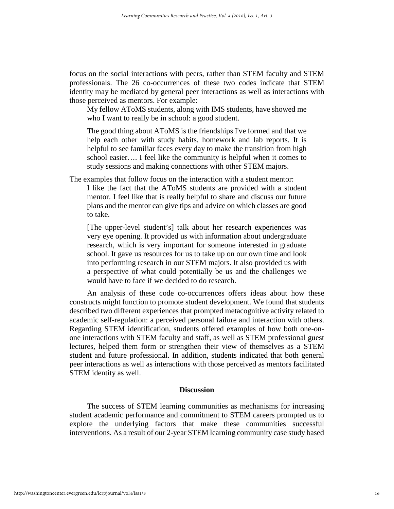focus on the social interactions with peers, rather than STEM faculty and STEM professionals. The 26 co-occurrences of these two codes indicate that STEM identity may be mediated by general peer interactions as well as interactions with those perceived as mentors. For example:

My fellow AToMS students, along with IMS students, have showed me who I want to really be in school: a good student.

The good thing about AToMS is the friendships I've formed and that we help each other with study habits, homework and lab reports. It is helpful to see familiar faces every day to make the transition from high school easier…. I feel like the community is helpful when it comes to study sessions and making connections with other STEM majors.

The examples that follow focus on the interaction with a student mentor:

I like the fact that the AToMS students are provided with a student mentor. I feel like that is really helpful to share and discuss our future plans and the mentor can give tips and advice on which classes are good to take.

[The upper-level student's] talk about her research experiences was very eye opening. It provided us with information about undergraduate research, which is very important for someone interested in graduate school. It gave us resources for us to take up on our own time and look into performing research in our STEM majors. It also provided us with a perspective of what could potentially be us and the challenges we would have to face if we decided to do research.

An analysis of these code co-occurrences offers ideas about how these constructs might function to promote student development. We found that students described two different experiences that prompted metacognitive activity related to academic self-regulation: a perceived personal failure and interaction with others. Regarding STEM identification, students offered examples of how both one-onone interactions with STEM faculty and staff, as well as STEM professional guest lectures, helped them form or strengthen their view of themselves as a STEM student and future professional. In addition, students indicated that both general peer interactions as well as interactions with those perceived as mentors facilitated STEM identity as well.

### **Discussion**

The success of STEM learning communities as mechanisms for increasing student academic performance and commitment to STEM careers prompted us to explore the underlying factors that make these communities successful interventions. As a result of our 2-year STEM learning community case study based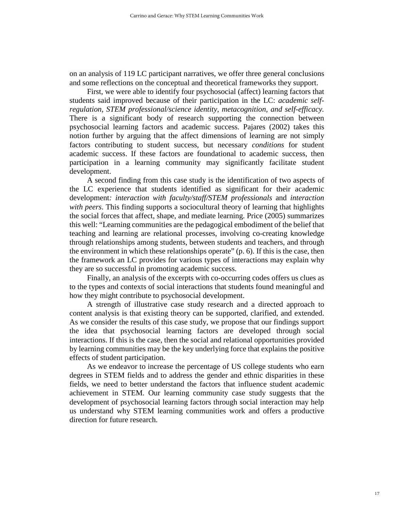on an analysis of 119 LC participant narratives, we offer three general conclusions and some reflections on the conceptual and theoretical frameworks they support.

First, we were able to identify four psychosocial (affect) learning factors that students said improved because of their participation in the LC: *academic selfregulation, STEM professional/science identity, metacognition, and self-efficacy.* There is a significant body of research supporting the connection between psychosocial learning factors and academic success. Pajares (2002) takes this notion further by arguing that the affect dimensions of learning are not simply factors contributing to student success, but necessary *conditions* for student academic success. If these factors are foundational to academic success, then participation in a learning community may significantly facilitate student development.

A second finding from this case study is the identification of two aspects of the LC experience that students identified as significant for their academic development*: interaction with faculty/staff/STEM professionals* and *interaction with peers*. This finding supports a sociocultural theory of learning that highlights the social forces that affect, shape, and mediate learning. Price (2005) summarizes this well: "Learning communities are the pedagogical embodiment of the belief that teaching and learning are relational processes, involving co-creating knowledge through relationships among students, between students and teachers, and through the environment in which these relationships operate" (p. 6). If this is the case, then the framework an LC provides for various types of interactions may explain why they are so successful in promoting academic success.

Finally, an analysis of the excerpts with co-occurring codes offers us clues as to the types and contexts of social interactions that students found meaningful and how they might contribute to psychosocial development.

A strength of illustrative case study research and a directed approach to content analysis is that existing theory can be supported, clarified, and extended. As we consider the results of this case study, we propose that our findings support the idea that psychosocial learning factors are developed through social interactions. If this is the case, then the social and relational opportunities provided by learning communities may be the key underlying force that explains the positive effects of student participation.

As we endeavor to increase the percentage of US college students who earn degrees in STEM fields and to address the gender and ethnic disparities in these fields, we need to better understand the factors that influence student academic achievement in STEM. Our learning community case study suggests that the development of psychosocial learning factors through social interaction may help us understand why STEM learning communities work and offers a productive direction for future research.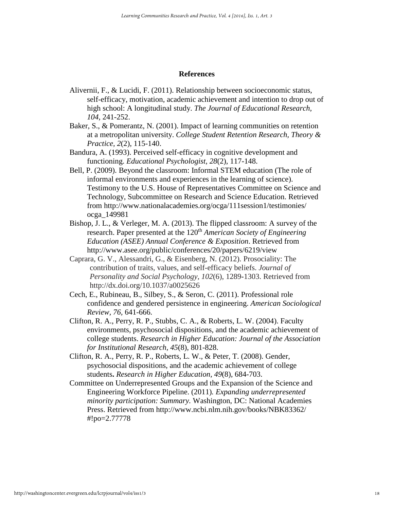### **References**

- Alivernii, F., & Lucidi, F. (2011). Relationship between socioeconomic status, self-efficacy, motivation, academic achievement and intention to drop out of high school: A longitudinal study. *The Journal of Educational Research, 104,* 241-252.
- Baker, S., & Pomerantz, N. (2001). Impact of learning communities on retention at a metropolitan university. *College Student Retention Research, Theory & Practice, 2*(2), 115-140.
- Bandura, A. (1993). Perceived self-efficacy in cognitive development and functioning. *Educational Psychologist, 28*(2), 117-148.
- Bell, P. (2009). Beyond the classroom: Informal STEM education (The role of informal environments and experiences in the learning of science). Testimony to the U.S. House of Representatives Committee on Science and Technology, Subcommittee on Research and Science Education. Retrieved from http://www.nationalacademies.org/ocga/111session1/testimonies/ ocga\_149981
- Bishop, J. L., & Verleger, M. A. (2013). The flipped classroom: A survey of the research. Paper presented at the 120<sup>th</sup> *American Society of Engineering Education (ASEE) Annual Conference & Exposition*. Retrieved from <http://www.asee.org/public/conferences/20/papers/6219/view>
- Caprara, G. V., Alessandri, G., & Eisenberg, N. (2012). Prosociality: The contribution of traits, values, and self-efficacy beliefs. *Journal of Personality and Social Psychology, 102*(6), 1289-1303. Retrieved from http://dx.doi.org/10.1037/a0025626
- Cech, E., Rubineau, B., Silbey, S., & Seron, C. (2011). Professional role confidence and gendered persistence in engineering. *American Sociological Review, 76,* 641-666.
- Clifton, R. A., Perry, R. P., Stubbs, C. A., & Roberts, L. W. (2004). Faculty environments, psychosocial dispositions, and the academic achievement of college students. *Research in Higher Education: Journal of the Association for Institutional Research, 45*(8), 801-828.
- Clifton, R. A., Perry, R. P., Roberts, L. W., & Peter, T. (2008). Gender, psychosocial dispositions, and the academic achievement of college students**.** *Research in Higher Education, 49*(8), 684-703.
- Committee on Underrepresented Groups and the Expansion of the Science and Engineering Workforce Pipeline. (2011)*. Expanding underrepresented minority participation: Summary.* Washington, DC: National Academies Press. Retrieved from http://www.ncbi.nlm.nih.gov/books/NBK83362/ #!po=2.77778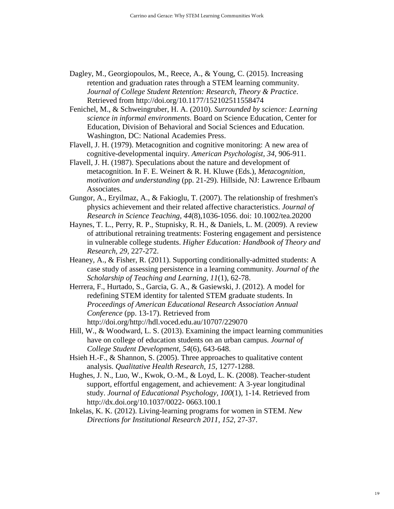- Dagley, M., Georgiopoulos, M., Reece, A., & Young, C. (2015). Increasing retention and graduation rates through a STEM learning community. *Journal of College Student Retention: Research, Theory & Practice*. Retrieved from<http://doi.org/10.1177/152102511558474>
- Fenichel, M., & Schweingruber, H. A. (2010). *Surrounded by science: Learning science in informal environments*. Board on Science Education, Center for Education, Division of Behavioral and Social Sciences and Education. Washington, DC: National Academies Press.
- Flavell, J. H. (1979). Metacognition and cognitive monitoring: A new area of cognitive-developmental inquiry. *American Psychologist, 34,* 906-911.
- Flavell, J. H. (1987). Speculations about the nature and development of metacognition. In F. E. Weinert & R. H. Kluwe (Eds.), *Metacognition, motivation and understanding* (pp. 21-29). Hillside, NJ: Lawrence Erlbaum Associates.
- Gungor, A., Eryilmaz, A., & Fakioglu, T. (2007). The relationship of freshmen's physics achievement and their related affective characteristics. *Journal of Research in Science Teaching, 44*(8),1036-1056. doi: 10.1002/tea.20200
- Haynes, T. L., Perry, R. P., Stupnisky, R. H., & Daniels, L. M. (2009). A review of attributional retraining treatments: Fostering engagement and persistence in vulnerable college students. *Higher Education: Handbook of Theory and Research, 29,* 227-272.
- Heaney, A., & Fisher, R. (2011). Supporting conditionally-admitted students: A case study of assessing persistence in a learning community. *Journal of the Scholarship of Teaching and Learning, 11*(1), 62-78.
- Herrera, F., Hurtado, S., Garcia, G. A., & Gasiewski, J. (2012). A model for redefining STEM identity for talented STEM graduate students. In *Proceedings of American Educational Research Association Annual Conference* (pp. 13-17). Retrieved from http://doi.org/http://hdl.voced.edu.au/10707/229070
- Hill, W., & Woodward, L. S. (2013). Examining the impact learning communities have on college of education students on an urban campus. *Journal of College Student Development, 54*(6), 643-648.
- Hsieh H.-F., & Shannon, S. (2005). Three approaches to qualitative content analysis. *Qualitative Health Research, 15,* 1277-1288.
- Hughes, J. N., Luo, W., Kwok, O.-M., & Loyd, L. K. (2008). Teacher-student support, effortful engagement, and achievement: A 3-year longitudinal study. *Journal of Educational Psychology, 100*(1), 1-14. Retrieved from http://dx.doi.org/10.1037/0022- 0663.100.1
- Inkelas, K. K. (2012). Living-learning programs for women in STEM. *New Directions for Institutional Research 2011, 152*, 27-37.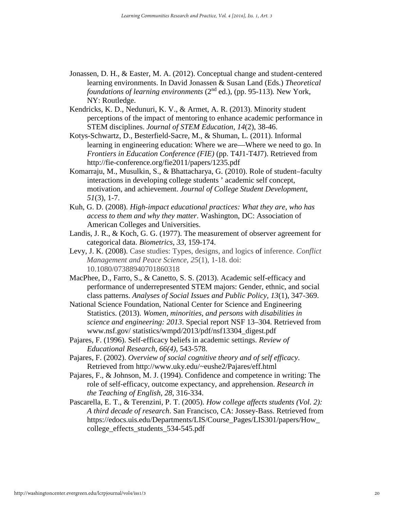- Jonassen, D. H., & Easter, M. A. (2012). Conceptual change and student-centered learning environments. In David Jonassen & Susan Land (Eds.) *Theoretical foundations of learning environments* (2<sup>nd</sup> ed.), (pp. 95-113). New York, NY: Routledge.
- Kendricks, K. D., Nedunuri, K. V., & Armet, A. R. (2013). Minority student perceptions of the impact of mentoring to enhance academic performance in STEM disciplines. *Journal of STEM Education, 14*(2), 38-46.
- Kotys-Schwartz, D., Besterfield-Sacre, M., & Shuman, L. (2011). Informal learning in engineering education: Where we are—Where we need to go. In *Frontiers in Education Conference (FIE)* (pp. T4J1-T4J7). Retrieved from http://fie-conference.org/fie2011/papers/1235.pdf
- Komarraju, M., Musulkin, S., & Bhattacharya, G. (2010). Role of student–faculty interactions in developing college students ' academic self concept, motivation, and achievement. *Journal of College Student Development*, *51*(3), 1-7.
- Kuh, G. D. (2008). *High-impact educational practices: What they are, who has access to them and why they matter*. Washington, DC: Association of American Colleges and Universities.
- Landis, J. R., & Koch, G. G. (1977). The measurement of observer agreement for categorical data. *Biometrics, 33*, 159-174.
- Levy, J. K. (2008). Case studies: Types, designs, and logics of inference. *Conflict Management and Peace Science, 25*(1)*,* 1-18. doi: 10.1080/07388940701860318
- MacPhee, D., Farro, S., & Canetto, S. S. (2013). Academic self-efficacy and performance of underrepresented STEM majors: Gender, ethnic, and social class patterns. *Analyses of Social Issues and Public Policy, 13*(1), 347-369.
- National Science Foundation, National Center for Science and Engineering Statistics. (2013). *Women, minorities, and persons with disabilities in science and engineering: 2013*. Special report NSF 13–304. Retrieved from www.nsf.gov/ statistics/wmpd/2013/pdf/nsf13304\_digest.pdf
- Pajares, F. (1996). Self-efficacy beliefs in academic settings. *Review of Educational Research, 66(4),* 543-578.
- Pajares, F. (2002). *Overview of social cognitive theory and of self efficacy*. Retrieved from http://www.uky.edu/~eushe2/Pajares/eff.html
- Pajares, F., & Johnson, M. J. (1994). Confidence and competence in writing: The role of self-efficacy, outcome expectancy, and apprehension. *Research in the Teaching of English, 28*, 316-334.
- Pascarella, E. T., & Terenzini, P. T. (2005). *How college affects students (Vol. 2): A third decade of research*. San Francisco, CA: Jossey-Bass. Retrieved from https://edocs.uis.edu/Departments/LIS/Course\_Pages/LIS301/papers/How\_ college effects students 534-545.pdf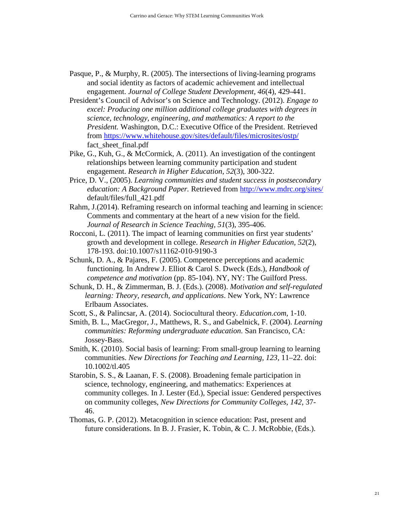- Pasque, P., & Murphy, R. (2005). The intersections of living-learning programs and social identity as factors of academic achievement and intellectual engagement. *Journal of College Student Development, 46*(4), 429-441.
- President's Council of Advisor's on Science and Technology. (2012). *Engage to excel: Producing one million additional college graduates with degrees in science, technology, engineering, and mathematics: A report to the President.* Washington, D.C.: Executive Office of the President. Retrieved from<https://www.whitehouse.gov/sites/default/files/microsites/ostp/> fact\_sheet\_final.pdf
- Pike, G., Kuh, G., & McCormick, A. (2011). An investigation of the contingent relationships between learning community participation and student engagement. *Research in Higher Education*, *52*(3), 300-322.
- Price, D. V., (2005). *Learning communities and student success in postsecondary education: A Background Paper.* Retrieved from<http://www.mdrc.org/sites/> default/files/full\_421.pdf
- Rahm, J.(2014). Reframing research on informal teaching and learning in science: Comments and commentary at the heart of a new vision for the field. *Journal of Research in Science Teaching, 51*(3), 395-406.
- Rocconi, L. (2011). The impact of learning communities on first year students' growth and development in college. *Research in Higher Education, 52*(2), 178-193. doi:10.1007/s11162-010-9190-3
- [Schunk,](http://philpapers.org/s/Dale%20H.%20Schunk) D. A., & [Pajares,](http://philpapers.org/s/Frank%20Pajares) F. (2005). [Competence perceptions and academic](http://philpapers.org/rec/SCHCPA-12)  [functioning.](http://philpapers.org/rec/SCHCPA-12) In Andrew J. Elliot & Carol S. Dweck (Eds.), *Handbook of competence and motivation* (pp. 85-104). NY, NY: The Guilford Press.
- Schunk, D. H., & Zimmerman, B. J. (Eds.). (2008). *Motivation and self-regulated learning: Theory, research, and applications*. New York, NY: Lawrence Erlbaum Associates.
- Scott, S., & Palincsar, A. (2014). Sociocultural theory. *Education.com*, 1-10.
- Smith, B. L., MacGregor, J., Matthews, R. S., and Gabelnick, F. (2004). *Learning communities: Reforming undergraduate education.* San Francisco, CA: Jossey-Bass.
- Smith, K. (2010). Social basis of learning: From small-group learning to learning communities. *New Directions for Teaching and Learning, 123,* 11–22. doi: 10.1002/tl.405
- Starobin, S. S., & Laanan, F. S. (2008). Broadening female participation in science, technology, engineering, and mathematics: Experiences at community colleges. In J. Lester (Ed.), Special issue: Gendered perspectives on community colleges, *New Directions for Community Colleges, 142,* 37- 46.
- Thomas, G. P. (2012). Metacognition in science education: Past, present and future considerations. In B. J. Frasier, K. Tobin, & C. J. McRobbie, (Eds.).